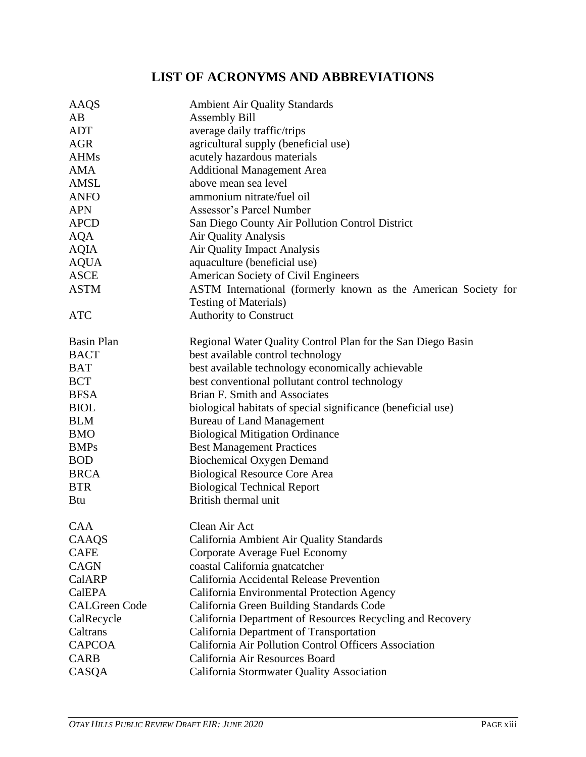## **LIST OF ACRONYMS AND ABBREVIATIONS**

| AAQS                 | <b>Ambient Air Quality Standards</b>                           |
|----------------------|----------------------------------------------------------------|
| AB                   | <b>Assembly Bill</b>                                           |
| <b>ADT</b>           | average daily traffic/trips                                    |
| <b>AGR</b>           | agricultural supply (beneficial use)                           |
| <b>AHMs</b>          | acutely hazardous materials                                    |
| <b>AMA</b>           | <b>Additional Management Area</b>                              |
| AMSL                 | above mean sea level                                           |
| <b>ANFO</b>          | ammonium nitrate/fuel oil                                      |
| <b>APN</b>           | <b>Assessor's Parcel Number</b>                                |
| <b>APCD</b>          | San Diego County Air Pollution Control District                |
| <b>AQA</b>           | <b>Air Quality Analysis</b>                                    |
| <b>AQIA</b>          | Air Quality Impact Analysis                                    |
| <b>AQUA</b>          | aquaculture (beneficial use)                                   |
| <b>ASCE</b>          | American Society of Civil Engineers                            |
| <b>ASTM</b>          | ASTM International (formerly known as the American Society for |
|                      | <b>Testing of Materials)</b>                                   |
| <b>ATC</b>           | <b>Authority to Construct</b>                                  |
| <b>Basin Plan</b>    | Regional Water Quality Control Plan for the San Diego Basin    |
| <b>BACT</b>          | best available control technology                              |
| <b>BAT</b>           | best available technology economically achievable              |
| <b>BCT</b>           | best conventional pollutant control technology                 |
| <b>BFSA</b>          | Brian F. Smith and Associates                                  |
| <b>BIOL</b>          | biological habitats of special significance (beneficial use)   |
| <b>BLM</b>           | <b>Bureau of Land Management</b>                               |
| <b>BMO</b>           | <b>Biological Mitigation Ordinance</b>                         |
| <b>BMPs</b>          | <b>Best Management Practices</b>                               |
| <b>BOD</b>           | <b>Biochemical Oxygen Demand</b>                               |
| <b>BRCA</b>          | <b>Biological Resource Core Area</b>                           |
| <b>BTR</b>           | <b>Biological Technical Report</b>                             |
| <b>Btu</b>           | British thermal unit                                           |
| CAA                  | Clean Air Act                                                  |
| CAAQS                | California Ambient Air Quality Standards                       |
| <b>CAFE</b>          | Corporate Average Fuel Economy                                 |
| <b>CAGN</b>          | coastal California gnatcatcher                                 |
| CalARP               | California Accidental Release Prevention                       |
| CalEPA               | California Environmental Protection Agency                     |
| <b>CALGreen Code</b> | California Green Building Standards Code                       |
| CalRecycle           | California Department of Resources Recycling and Recovery      |
| Caltrans             | California Department of Transportation                        |
| <b>CAPCOA</b>        | California Air Pollution Control Officers Association          |
| <b>CARB</b>          | California Air Resources Board                                 |
| CASQA                | California Stormwater Quality Association                      |
|                      |                                                                |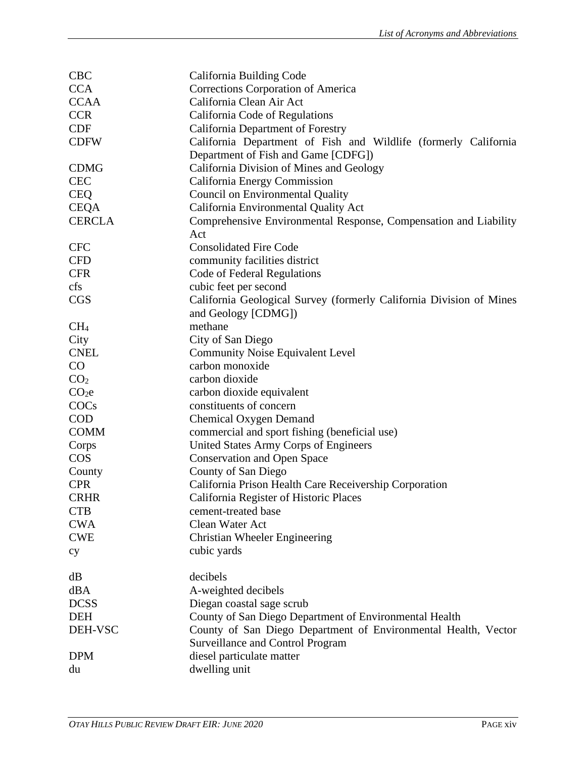| <b>CBC</b>        | California Building Code                                            |
|-------------------|---------------------------------------------------------------------|
| <b>CCA</b>        | Corrections Corporation of America                                  |
| <b>CCAA</b>       | California Clean Air Act                                            |
| <b>CCR</b>        | California Code of Regulations                                      |
| <b>CDF</b>        | California Department of Forestry                                   |
| <b>CDFW</b>       | California Department of Fish and Wildlife (formerly California     |
|                   | Department of Fish and Game [CDFG])                                 |
| <b>CDMG</b>       | California Division of Mines and Geology                            |
| <b>CEC</b>        | California Energy Commission                                        |
| <b>CEQ</b>        | <b>Council on Environmental Quality</b>                             |
| <b>CEQA</b>       | California Environmental Quality Act                                |
| <b>CERCLA</b>     | Comprehensive Environmental Response, Compensation and Liability    |
|                   | Act                                                                 |
| <b>CFC</b>        | <b>Consolidated Fire Code</b>                                       |
| <b>CFD</b>        | community facilities district                                       |
| <b>CFR</b>        | Code of Federal Regulations                                         |
| cfs               | cubic feet per second                                               |
| <b>CGS</b>        | California Geological Survey (formerly California Division of Mines |
|                   | and Geology [CDMG])                                                 |
| CH <sub>4</sub>   | methane                                                             |
| City              | City of San Diego                                                   |
| <b>CNEL</b>       | <b>Community Noise Equivalent Level</b>                             |
| CO                | carbon monoxide                                                     |
| CO <sub>2</sub>   | carbon dioxide                                                      |
|                   |                                                                     |
| CO <sub>2</sub> e | carbon dioxide equivalent                                           |
| COCs              | constituents of concern                                             |
| <b>COD</b>        | <b>Chemical Oxygen Demand</b>                                       |
| <b>COMM</b>       | commercial and sport fishing (beneficial use)                       |
| Corps             | United States Army Corps of Engineers                               |
| <b>COS</b>        | <b>Conservation and Open Space</b>                                  |
| County            | County of San Diego                                                 |
| <b>CPR</b>        | California Prison Health Care Receivership Corporation              |
| <b>CRHR</b>       | California Register of Historic Places                              |
| <b>CTB</b>        | cement-treated base                                                 |
| <b>CWA</b>        | Clean Water Act                                                     |
| <b>CWE</b>        | Christian Wheeler Engineering                                       |
| cy                | cubic yards                                                         |
| dB                | decibels                                                            |
| dBA               | A-weighted decibels                                                 |
| <b>DCSS</b>       | Diegan coastal sage scrub                                           |
| <b>DEH</b>        | County of San Diego Department of Environmental Health              |
| DEH-VSC           | County of San Diego Department of Environmental Health, Vector      |
|                   | <b>Surveillance and Control Program</b>                             |
| <b>DPM</b>        | diesel particulate matter                                           |
| du                | dwelling unit                                                       |
|                   |                                                                     |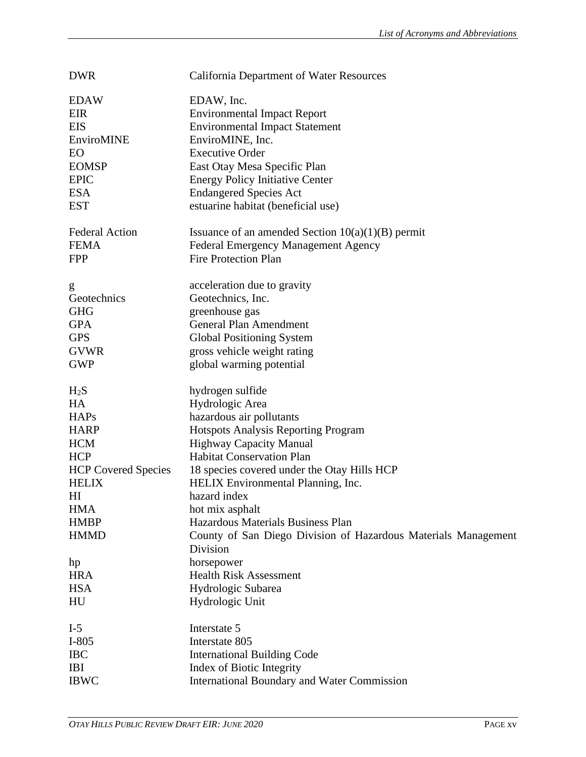| <b>DWR</b>                 | California Department of Water Resources                                 |
|----------------------------|--------------------------------------------------------------------------|
| <b>EDAW</b>                | EDAW, Inc.                                                               |
| <b>EIR</b>                 | <b>Environmental Impact Report</b>                                       |
| <b>EIS</b>                 | <b>Environmental Impact Statement</b>                                    |
| EnviroMINE                 | EnviroMINE, Inc.                                                         |
| EO                         | <b>Executive Order</b>                                                   |
| <b>EOMSP</b>               | East Otay Mesa Specific Plan                                             |
| <b>EPIC</b>                | <b>Energy Policy Initiative Center</b>                                   |
| <b>ESA</b>                 | <b>Endangered Species Act</b>                                            |
| <b>EST</b>                 | estuarine habitat (beneficial use)                                       |
|                            |                                                                          |
| <b>Federal Action</b>      | Issuance of an amended Section $10(a)(1)(B)$ permit                      |
| <b>FEMA</b>                | <b>Federal Emergency Management Agency</b>                               |
| <b>FPP</b>                 | <b>Fire Protection Plan</b>                                              |
| g                          | acceleration due to gravity                                              |
| Geotechnics                | Geotechnics, Inc.                                                        |
| <b>GHG</b>                 | greenhouse gas                                                           |
| <b>GPA</b>                 | General Plan Amendment                                                   |
| <b>GPS</b>                 | <b>Global Positioning System</b>                                         |
| <b>GVWR</b>                | gross vehicle weight rating                                              |
| <b>GWP</b>                 | global warming potential                                                 |
| $H_2S$                     | hydrogen sulfide                                                         |
| HA                         | Hydrologic Area                                                          |
| <b>HAPs</b>                | hazardous air pollutants                                                 |
| <b>HARP</b>                | <b>Hotspots Analysis Reporting Program</b>                               |
| <b>HCM</b>                 | <b>Highway Capacity Manual</b>                                           |
| <b>HCP</b>                 | <b>Habitat Conservation Plan</b>                                         |
| <b>HCP Covered Species</b> | 18 species covered under the Otay Hills HCP                              |
| <b>HELIX</b>               | HELIX Environmental Planning, Inc.                                       |
| HI                         | hazard index                                                             |
| <b>HMA</b>                 | hot mix asphalt                                                          |
| <b>HMBP</b>                | Hazardous Materials Business Plan                                        |
| <b>HMMD</b>                | County of San Diego Division of Hazardous Materials Management           |
|                            | Division                                                                 |
| hp                         | horsepower                                                               |
| <b>HRA</b>                 | <b>Health Risk Assessment</b>                                            |
| <b>HSA</b>                 | Hydrologic Subarea                                                       |
| HU                         | Hydrologic Unit                                                          |
| $I-5$                      | Interstate 5                                                             |
|                            |                                                                          |
| $I-805$                    | Interstate 805                                                           |
| <b>IBC</b>                 | <b>International Building Code</b>                                       |
| <b>IBI</b><br><b>IBWC</b>  | Index of Biotic Integrity<br>International Boundary and Water Commission |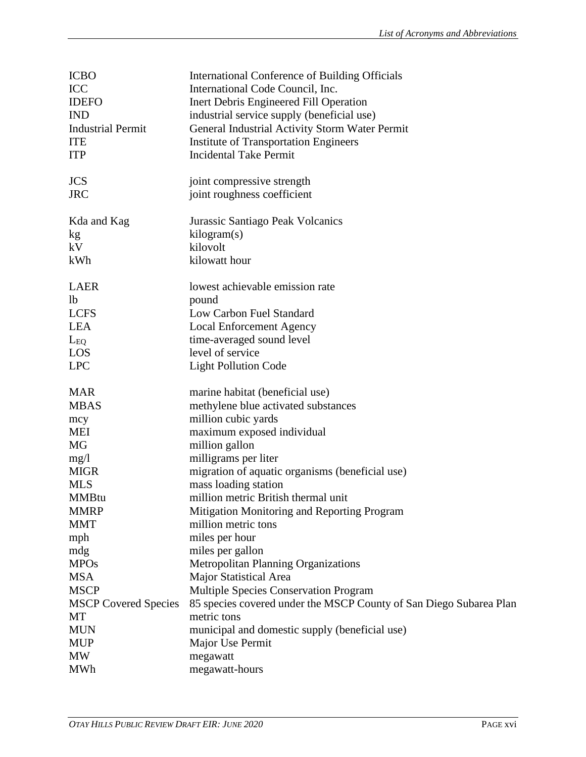| <b>ICBO</b>                 | International Conference of Building Officials                     |
|-----------------------------|--------------------------------------------------------------------|
| <b>ICC</b>                  | International Code Council, Inc.                                   |
| <b>IDEFO</b>                | Inert Debris Engineered Fill Operation                             |
| <b>IND</b>                  | industrial service supply (beneficial use)                         |
| <b>Industrial Permit</b>    | General Industrial Activity Storm Water Permit                     |
| <b>ITE</b>                  | <b>Institute of Transportation Engineers</b>                       |
| <b>ITP</b>                  | <b>Incidental Take Permit</b>                                      |
|                             |                                                                    |
| <b>JCS</b>                  | joint compressive strength                                         |
| <b>JRC</b>                  | joint roughness coefficient                                        |
|                             |                                                                    |
| Kda and Kag                 | Jurassic Santiago Peak Volcanics                                   |
| kg                          | kilogram(s)                                                        |
| kV                          | kilovolt                                                           |
| kWh                         | kilowatt hour                                                      |
|                             |                                                                    |
| <b>LAER</b>                 | lowest achievable emission rate                                    |
| 1 <sub>b</sub>              | pound                                                              |
| <b>LCFS</b>                 | Low Carbon Fuel Standard                                           |
| <b>LEA</b>                  | <b>Local Enforcement Agency</b>                                    |
| $L_{EQ}$                    | time-averaged sound level                                          |
| LOS                         | level of service                                                   |
| <b>LPC</b>                  | <b>Light Pollution Code</b>                                        |
|                             |                                                                    |
|                             |                                                                    |
|                             |                                                                    |
| <b>MAR</b>                  | marine habitat (beneficial use)                                    |
| <b>MBAS</b>                 | methylene blue activated substances                                |
| mcy                         | million cubic yards                                                |
| <b>MEI</b>                  | maximum exposed individual                                         |
| <b>MG</b>                   | million gallon                                                     |
| mg/1                        | milligrams per liter                                               |
| <b>MIGR</b>                 | migration of aquatic organisms (beneficial use)                    |
| <b>MLS</b>                  | mass loading station                                               |
| <b>MMBtu</b>                | million metric British thermal unit                                |
| <b>MMRP</b>                 | Mitigation Monitoring and Reporting Program                        |
| <b>MMT</b>                  | million metric tons                                                |
| mph                         | miles per hour                                                     |
| mdg                         | miles per gallon                                                   |
| <b>MPOs</b>                 | <b>Metropolitan Planning Organizations</b>                         |
| <b>MSA</b>                  | Major Statistical Area                                             |
| <b>MSCP</b>                 | <b>Multiple Species Conservation Program</b>                       |
| <b>MSCP Covered Species</b> | 85 species covered under the MSCP County of San Diego Subarea Plan |
| MT                          | metric tons                                                        |
| <b>MUN</b>                  | municipal and domestic supply (beneficial use)                     |
| <b>MUP</b>                  | Major Use Permit                                                   |
| <b>MW</b><br><b>MWh</b>     | megawatt<br>megawatt-hours                                         |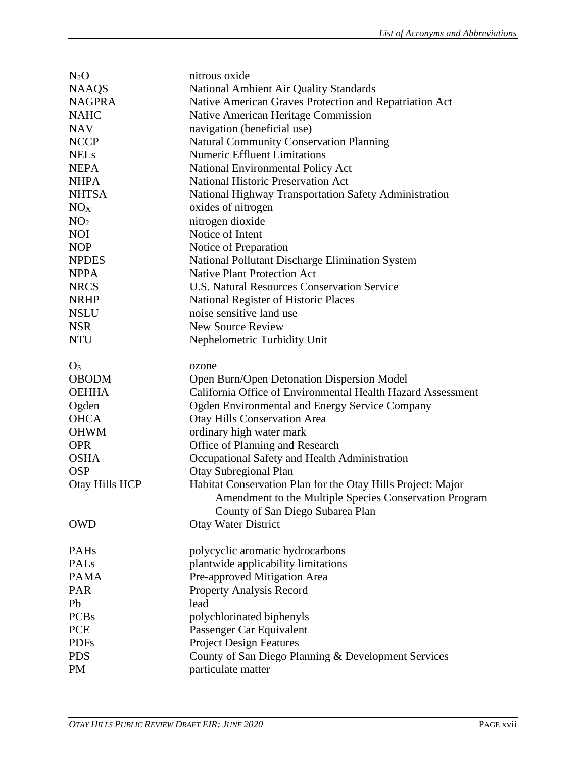| $N_2O$          | nitrous oxide                                               |
|-----------------|-------------------------------------------------------------|
| <b>NAAQS</b>    | National Ambient Air Quality Standards                      |
| <b>NAGPRA</b>   | Native American Graves Protection and Repatriation Act      |
| <b>NAHC</b>     | Native American Heritage Commission                         |
| <b>NAV</b>      | navigation (beneficial use)                                 |
| <b>NCCP</b>     | <b>Natural Community Conservation Planning</b>              |
| <b>NELs</b>     | <b>Numeric Effluent Limitations</b>                         |
| <b>NEPA</b>     | <b>National Environmental Policy Act</b>                    |
| <b>NHPA</b>     | <b>National Historic Preservation Act</b>                   |
| <b>NHTSA</b>    | National Highway Transportation Safety Administration       |
| NO <sub>X</sub> | oxides of nitrogen                                          |
| NO <sub>2</sub> | nitrogen dioxide                                            |
| <b>NOI</b>      | Notice of Intent                                            |
| <b>NOP</b>      | Notice of Preparation                                       |
| <b>NPDES</b>    | National Pollutant Discharge Elimination System             |
| <b>NPPA</b>     | <b>Native Plant Protection Act</b>                          |
| <b>NRCS</b>     | U.S. Natural Resources Conservation Service                 |
| <b>NRHP</b>     | National Register of Historic Places                        |
| <b>NSLU</b>     | noise sensitive land use                                    |
| <b>NSR</b>      | <b>New Source Review</b>                                    |
| <b>NTU</b>      | Nephelometric Turbidity Unit                                |
|                 |                                                             |
| $O_3$           | ozone                                                       |
| <b>OBODM</b>    | Open Burn/Open Detonation Dispersion Model                  |
| <b>OEHHA</b>    | California Office of Environmental Health Hazard Assessment |
| Ogden           | Ogden Environmental and Energy Service Company              |
| <b>OHCA</b>     | <b>Otay Hills Conservation Area</b>                         |
| <b>OHWM</b>     | ordinary high water mark                                    |
| <b>OPR</b>      | Office of Planning and Research                             |
| <b>OSHA</b>     | Occupational Safety and Health Administration               |
| <b>OSP</b>      | Otay Subregional Plan                                       |
| Otay Hills HCP  | Habitat Conservation Plan for the Otay Hills Project: Major |
|                 | Amendment to the Multiple Species Conservation Program      |
|                 | County of San Diego Subarea Plan                            |
| <b>OWD</b>      | <b>Otay Water District</b>                                  |
|                 |                                                             |
| <b>PAHs</b>     | polycyclic aromatic hydrocarbons                            |
| PALs            | plantwide applicability limitations                         |
| <b>PAMA</b>     | Pre-approved Mitigation Area                                |
| PAR             | Property Analysis Record                                    |
| Pb              | lead                                                        |
| <b>PCBs</b>     | polychlorinated biphenyls                                   |
| <b>PCE</b>      | Passenger Car Equivalent                                    |
| <b>PDFs</b>     | <b>Project Design Features</b>                              |
| <b>PDS</b>      | County of San Diego Planning & Development Services         |
| PM              | particulate matter                                          |
|                 |                                                             |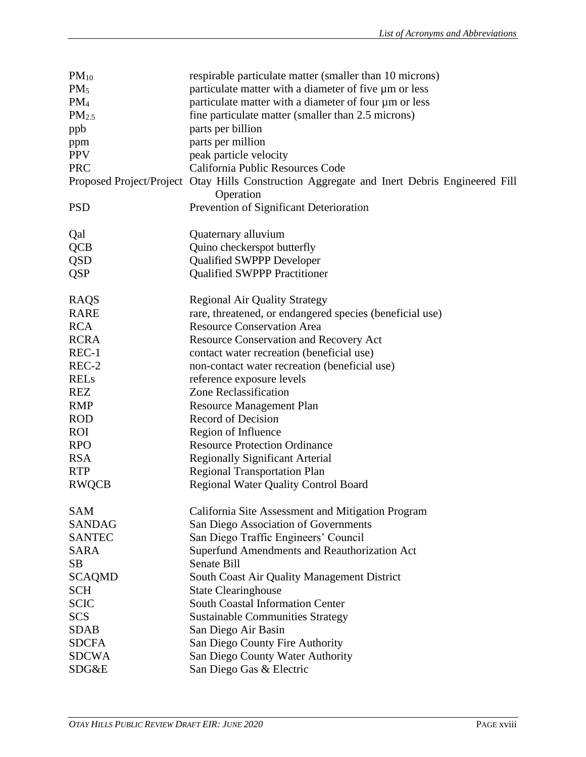| $PM_{10}$         | respirable particulate matter (smaller than 10 microns)                                                  |
|-------------------|----------------------------------------------------------------------------------------------------------|
| PM <sub>5</sub>   | particulate matter with a diameter of five um or less                                                    |
| PM <sub>4</sub>   | particulate matter with a diameter of four µm or less                                                    |
| PM <sub>2.5</sub> | fine particulate matter (smaller than 2.5 microns)                                                       |
| ppb               | parts per billion                                                                                        |
| ppm               | parts per million                                                                                        |
| <b>PPV</b>        | peak particle velocity                                                                                   |
| <b>PRC</b>        | California Public Resources Code                                                                         |
|                   | Proposed Project/Project Otay Hills Construction Aggregate and Inert Debris Engineered Fill<br>Operation |
| <b>PSD</b>        | Prevention of Significant Deterioration                                                                  |
| Qal               | Quaternary alluvium                                                                                      |
| <b>QCB</b>        | Quino checkerspot butterfly                                                                              |
| <b>QSD</b>        | <b>Qualified SWPPP Developer</b>                                                                         |
| <b>QSP</b>        | <b>Qualified SWPPP Practitioner</b>                                                                      |
| RAQS              | <b>Regional Air Quality Strategy</b>                                                                     |
| <b>RARE</b>       | rare, threatened, or endangered species (beneficial use)                                                 |
| <b>RCA</b>        | <b>Resource Conservation Area</b>                                                                        |
| <b>RCRA</b>       | <b>Resource Conservation and Recovery Act</b>                                                            |
| $REC-1$           | contact water recreation (beneficial use)                                                                |
| REC-2             | non-contact water recreation (beneficial use)                                                            |
| <b>RELs</b>       | reference exposure levels                                                                                |
| <b>REZ</b>        | <b>Zone Reclassification</b>                                                                             |
| <b>RMP</b>        | <b>Resource Management Plan</b>                                                                          |
| <b>ROD</b>        | Record of Decision                                                                                       |
| <b>ROI</b>        | Region of Influence                                                                                      |
| <b>RPO</b>        | <b>Resource Protection Ordinance</b>                                                                     |
| <b>RSA</b>        | <b>Regionally Significant Arterial</b>                                                                   |
| <b>RTP</b>        | <b>Regional Transportation Plan</b>                                                                      |
| <b>RWQCB</b>      | <b>Regional Water Quality Control Board</b>                                                              |
|                   |                                                                                                          |
| SAM               | California Site Assessment and Mitigation Program                                                        |
| <b>SANDAG</b>     | San Diego Association of Governments                                                                     |
| <b>SANTEC</b>     | San Diego Traffic Engineers' Council                                                                     |
| <b>SARA</b>       | Superfund Amendments and Reauthorization Act                                                             |
| <b>SB</b>         | Senate Bill                                                                                              |
| <b>SCAQMD</b>     | South Coast Air Quality Management District                                                              |
| <b>SCH</b>        | <b>State Clearinghouse</b>                                                                               |
| <b>SCIC</b>       | <b>South Coastal Information Center</b>                                                                  |
| <b>SCS</b>        | <b>Sustainable Communities Strategy</b>                                                                  |
| <b>SDAB</b>       | San Diego Air Basin                                                                                      |
| <b>SDCFA</b>      | San Diego County Fire Authority                                                                          |
| <b>SDCWA</b>      | San Diego County Water Authority                                                                         |
| SDG&E             | San Diego Gas & Electric                                                                                 |
|                   |                                                                                                          |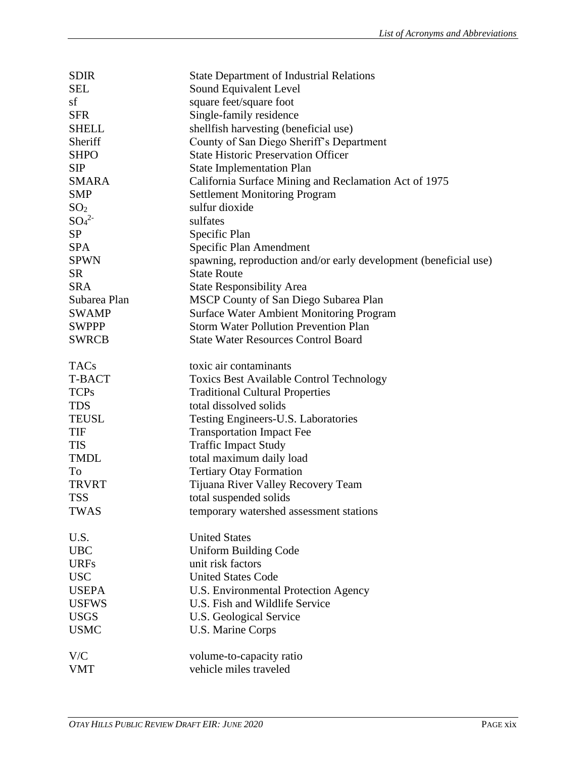| <b>SDIR</b>                  | <b>State Department of Industrial Relations</b>                  |
|------------------------------|------------------------------------------------------------------|
| <b>SEL</b>                   | Sound Equivalent Level                                           |
| sf                           | square feet/square foot                                          |
| <b>SFR</b>                   | Single-family residence                                          |
| <b>SHELL</b>                 | shellfish harvesting (beneficial use)                            |
| Sheriff                      | County of San Diego Sheriff's Department                         |
| <b>SHPO</b>                  | <b>State Historic Preservation Officer</b>                       |
| <b>SIP</b>                   | <b>State Implementation Plan</b>                                 |
| <b>SMARA</b>                 | California Surface Mining and Reclamation Act of 1975            |
| <b>SMP</b>                   | <b>Settlement Monitoring Program</b>                             |
| SO <sub>2</sub>              | sulfur dioxide                                                   |
| SO <sub>4</sub> <sup>2</sup> | sulfates                                                         |
| <b>SP</b>                    | Specific Plan                                                    |
| <b>SPA</b>                   | Specific Plan Amendment                                          |
| <b>SPWN</b>                  | spawning, reproduction and/or early development (beneficial use) |
| <b>SR</b>                    | <b>State Route</b>                                               |
| <b>SRA</b>                   | <b>State Responsibility Area</b>                                 |
| Subarea Plan                 | MSCP County of San Diego Subarea Plan                            |
| <b>SWAMP</b>                 | <b>Surface Water Ambient Monitoring Program</b>                  |
| <b>SWPPP</b>                 | <b>Storm Water Pollution Prevention Plan</b>                     |
| <b>SWRCB</b>                 | <b>State Water Resources Control Board</b>                       |
|                              |                                                                  |
| <b>TACs</b>                  | toxic air contaminants                                           |
| T-BACT                       | <b>Toxics Best Available Control Technology</b>                  |
| <b>TCPs</b>                  | <b>Traditional Cultural Properties</b>                           |
| <b>TDS</b>                   | total dissolved solids                                           |
| <b>TEUSL</b>                 | Testing Engineers-U.S. Laboratories                              |
| TIF                          | <b>Transportation Impact Fee</b>                                 |
| <b>TIS</b>                   | <b>Traffic Impact Study</b>                                      |
| <b>TMDL</b>                  | total maximum daily load                                         |
| To                           | <b>Tertiary Otay Formation</b>                                   |
| <b>TRVRT</b>                 | Tijuana River Valley Recovery Team                               |
| <b>TSS</b>                   | total suspended solids                                           |
| <b>TWAS</b>                  | temporary watershed assessment stations                          |
|                              |                                                                  |
| U.S.                         | <b>United States</b>                                             |
| <b>UBC</b>                   | Uniform Building Code                                            |
| <b>URFs</b>                  | unit risk factors                                                |
| <b>USC</b>                   | <b>United States Code</b>                                        |
| <b>USEPA</b>                 | U.S. Environmental Protection Agency                             |
| <b>USFWS</b>                 | U.S. Fish and Wildlife Service                                   |
| <b>USGS</b>                  | U.S. Geological Service                                          |
| <b>USMC</b>                  | U.S. Marine Corps                                                |
|                              |                                                                  |
| V/C                          | volume-to-capacity ratio                                         |
| <b>VMT</b>                   | vehicle miles traveled                                           |